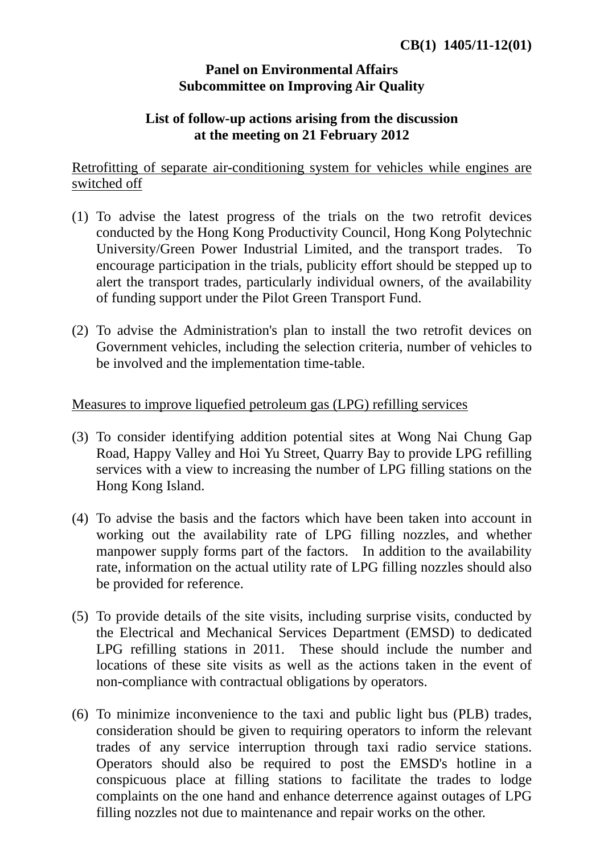## **Panel on Environmental Affairs Subcommittee on Improving Air Quality**

## **List of follow-up actions arising from the discussion at the meeting on 21 February 2012**

Retrofitting of separate air-conditioning system for vehicles while engines are switched off

- (1) To advise the latest progress of the trials on the two retrofit devices conducted by the Hong Kong Productivity Council, Hong Kong Polytechnic University/Green Power Industrial Limited, and the transport trades. To encourage participation in the trials, publicity effort should be stepped up to alert the transport trades, particularly individual owners, of the availability of funding support under the Pilot Green Transport Fund.
- (2) To advise the Administration's plan to install the two retrofit devices on Government vehicles, including the selection criteria, number of vehicles to be involved and the implementation time-table.

## Measures to improve liquefied petroleum gas (LPG) refilling services

- (3) To consider identifying addition potential sites at Wong Nai Chung Gap Road, Happy Valley and Hoi Yu Street, Quarry Bay to provide LPG refilling services with a view to increasing the number of LPG filling stations on the Hong Kong Island.
- (4) To advise the basis and the factors which have been taken into account in working out the availability rate of LPG filling nozzles, and whether manpower supply forms part of the factors. In addition to the availability rate, information on the actual utility rate of LPG filling nozzles should also be provided for reference.
- (5) To provide details of the site visits, including surprise visits, conducted by the Electrical and Mechanical Services Department (EMSD) to dedicated LPG refilling stations in 2011. These should include the number and locations of these site visits as well as the actions taken in the event of non-compliance with contractual obligations by operators.
- (6) To minimize inconvenience to the taxi and public light bus (PLB) trades, consideration should be given to requiring operators to inform the relevant trades of any service interruption through taxi radio service stations. Operators should also be required to post the EMSD's hotline in a conspicuous place at filling stations to facilitate the trades to lodge complaints on the one hand and enhance deterrence against outages of LPG filling nozzles not due to maintenance and repair works on the other.